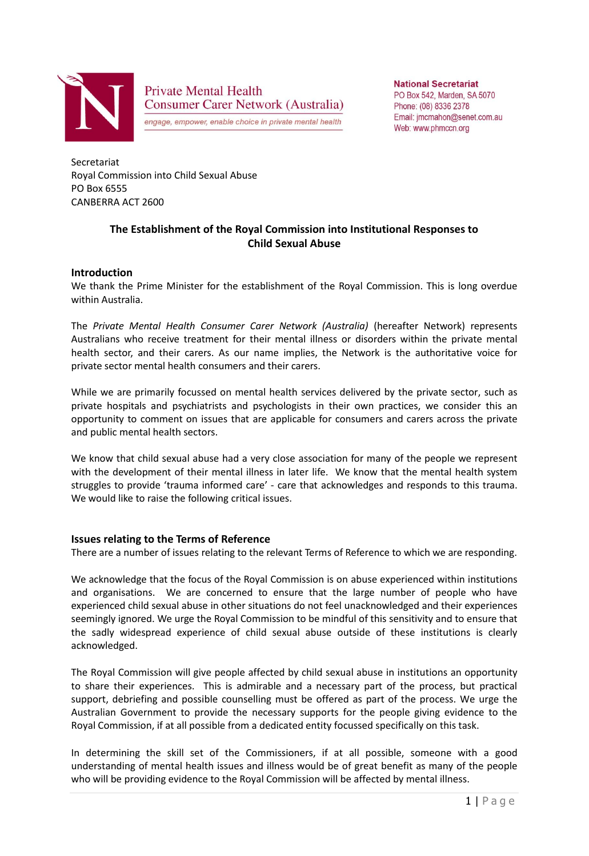

**Private Mental Health Consumer Carer Network (Australia)** 

engage, empower, enable choice in private mental health

**National Secretariat** PO Box 542, Marden, SA 5070 Phone: (08) 8336 2378 Email: jmcmahon@senet.com.au Web: www.phmccn.org

Secretariat Royal Commission into Child Sexual Abuse PO Box 6555 CANBERRA ACT 2600

# **The Establishment of the Royal Commission into Institutional Responses to Child Sexual Abuse**

#### **Introduction**

We thank the Prime Minister for the establishment of the Royal Commission. This is long overdue within Australia.

The *Private Mental Health Consumer Carer Network (Australia)* (hereafter Network) represents Australians who receive treatment for their mental illness or disorders within the private mental health sector, and their carers. As our name implies, the Network is the authoritative voice for private sector mental health consumers and their carers.

While we are primarily focussed on mental health services delivered by the private sector, such as private hospitals and psychiatrists and psychologists in their own practices, we consider this an opportunity to comment on issues that are applicable for consumers and carers across the private and public mental health sectors.

We know that child sexual abuse had a very close association for many of the people we represent with the development of their mental illness in later life. We know that the mental health system struggles to provide 'trauma informed care' - care that acknowledges and responds to this trauma. We would like to raise the following critical issues.

#### **Issues relating to the Terms of Reference**

There are a number of issues relating to the relevant Terms of Reference to which we are responding.

We acknowledge that the focus of the Royal Commission is on abuse experienced within institutions and organisations. We are concerned to ensure that the large number of people who have experienced child sexual abuse in other situations do not feel unacknowledged and their experiences seemingly ignored. We urge the Royal Commission to be mindful of this sensitivity and to ensure that the sadly widespread experience of child sexual abuse outside of these institutions is clearly acknowledged.

The Royal Commission will give people affected by child sexual abuse in institutions an opportunity to share their experiences. This is admirable and a necessary part of the process, but practical support, debriefing and possible counselling must be offered as part of the process. We urge the Australian Government to provide the necessary supports for the people giving evidence to the Royal Commission, if at all possible from a dedicated entity focussed specifically on this task.

In determining the skill set of the Commissioners, if at all possible, someone with a good understanding of mental health issues and illness would be of great benefit as many of the people who will be providing evidence to the Royal Commission will be affected by mental illness.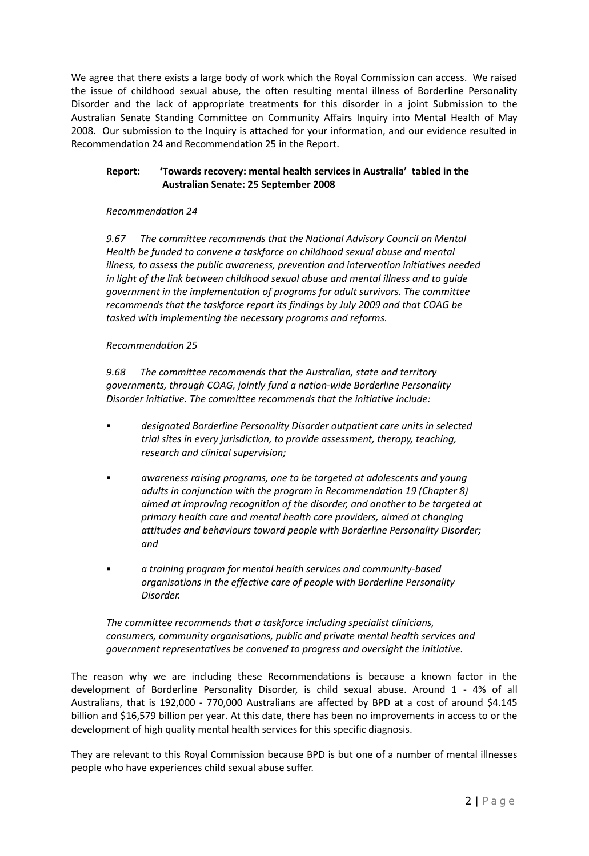We agree that there exists a large body of work which the Royal Commission can access. We raised the issue of childhood sexual abuse, the often resulting mental illness of Borderline Personality Disorder and the lack of appropriate treatments for this disorder in a joint Submission to the Australian Senate Standing Committee on Community Affairs Inquiry into Mental Health of May 2008. Our submission to the Inquiry is attached for your information, and our evidence resulted in Recommendation 24 and Recommendation 25 in the Report.

## **Report: 'Towards recovery: mental health services in Australia' tabled in the Australian Senate: 25 September 2008**

### *Recommendation 24*

*9.67 The committee recommends that the National Advisory Council on Mental Health be funded to convene a taskforce on childhood sexual abuse and mental illness, to assess the public awareness, prevention and intervention initiatives needed in light of the link between childhood sexual abuse and mental illness and to guide government in the implementation of programs for adult survivors. The committee recommends that the taskforce report its findings by July 2009 and that COAG be tasked with implementing the necessary programs and reforms.*

### *Recommendation 25*

*9.68 The committee recommends that the Australian, state and territory governments, through COAG, jointly fund a nation-wide Borderline Personality Disorder initiative. The committee recommends that the initiative include:*

- *designated Borderline Personality Disorder outpatient care units in selected trial sites in every jurisdiction, to provide assessment, therapy, teaching, research and clinical supervision;*
- *awareness raising programs, one to be targeted at adolescents and young adults in conjunction with the program in Recommendation 19 (Chapter 8) aimed at improving recognition of the disorder, and another to be targeted at primary health care and mental health care providers, aimed at changing attitudes and behaviours toward people with Borderline Personality Disorder; and*
- *a training program for mental health services and community-based organisations in the effective care of people with Borderline Personality Disorder.*

*The committee recommends that a taskforce including specialist clinicians, consumers, community organisations, public and private mental health services and government representatives be convened to progress and oversight the initiative.*

The reason why we are including these Recommendations is because a known factor in the development of Borderline Personality Disorder, is child sexual abuse. Around 1 - 4% of all Australians, that is 192,000 - 770,000 Australians are affected by BPD at a cost of around \$4.145 billion and \$16,579 billion per year. At this date, there has been no improvements in access to or the development of high quality mental health services for this specific diagnosis.

They are relevant to this Royal Commission because BPD is but one of a number of mental illnesses people who have experiences child sexual abuse suffer.